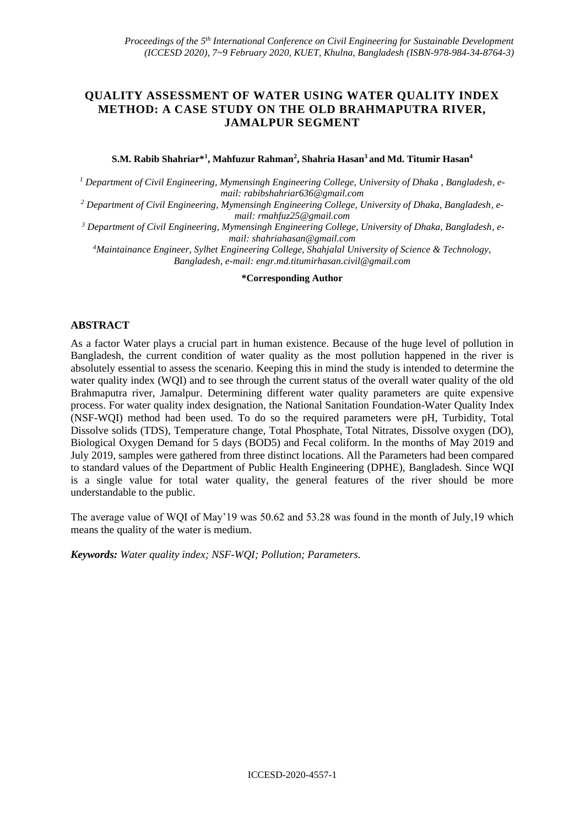### **QUALITY ASSESSMENT OF WATER USING WATER QUALITY INDEX METHOD: A CASE STUDY ON THE OLD BRAHMAPUTRA RIVER, JAMALPUR SEGMENT**

#### **S.M. Rabib Shahriar\*<sup>1</sup> , Mahfuzur Rahman<sup>2</sup> , Shahria Hasan<sup>3</sup>and Md. Titumir Hasan<sup>4</sup>**

*<sup>1</sup> Department of Civil Engineering, Mymensingh Engineering College, University of Dhaka , Bangladesh, email: [rabibshahriar636@gmail.com](mailto:rabibshahriar636@gmail.com)*

*<sup>2</sup> Department of Civil Engineering, Mymensingh Engineering College, University of Dhaka, Bangladesh, email[: rmahfuz25@gmail.com](mailto:rmahfuz25@gmail.com)*

*<sup>3</sup> Department of Civil Engineering, Mymensingh Engineering College, University of Dhaka, Bangladesh, email[: shahriahasan@gmail.com](mailto:shahriahasan@gmail.com)*

*<sup>4</sup>Maintainance Engineer, Sylhet Engineering College, Shahjalal University of Science & Technology, Bangladesh, e-mail: [engr.md.titumirhasan.civil@gmail.com](mailto:engr.md.titumirhasan.civil@gmail.com)*

#### **\*Corresponding Author**

#### **ABSTRACT**

As a factor Water plays a crucial part in human existence. Because of the huge level of pollution in Bangladesh, the current condition of water quality as the most pollution happened in the river is absolutely essential to assess the scenario. Keeping this in mind the study is intended to determine the water quality index (WQI) and to see through the current status of the overall water quality of the old Brahmaputra river, Jamalpur. Determining different water quality parameters are quite expensive process. For water quality index designation, the National Sanitation Foundation-Water Quality Index (NSF-WQI) method had been used. To do so the required parameters were pH, Turbidity, Total Dissolve solids (TDS), Temperature change, Total Phosphate, Total Nitrates, Dissolve oxygen (DO), Biological Oxygen Demand for 5 days (BOD5) and Fecal coliform. In the months of May 2019 and July 2019, samples were gathered from three distinct locations. All the Parameters had been compared to standard values of the Department of Public Health Engineering (DPHE), Bangladesh. Since WQI is a single value for total water quality, the general features of the river should be more understandable to the public.

The average value of WQI of May'19 was 50.62 and 53.28 was found in the month of July,19 which means the quality of the water is medium.

*Keywords: Water quality index; NSF-WQI; Pollution; Parameters.*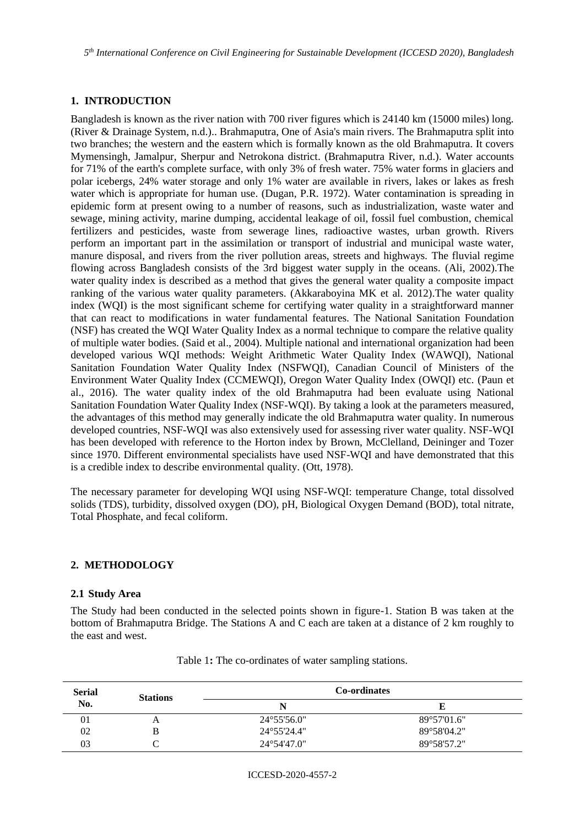*5 th International Conference on Civil Engineering for Sustainable Development (ICCESD 2020), Bangladesh*

### **1. INTRODUCTION**

Bangladesh is known as the river nation with 700 river figures which is 24140 km (15000 miles) long. (River & Drainage System, n.d.).. Brahmaputra, One of Asia's main rivers. The Brahmaputra split into two branches; the western and the eastern which is formally known as the old Brahmaputra. It covers Mymensingh, Jamalpur, Sherpur and Netrokona district. (Brahmaputra River, n.d.). Water accounts for 71% of the earth's complete surface, with only 3% of fresh water. 75% water forms in glaciers and polar icebergs, 24% water storage and only 1% water are available in rivers, lakes or lakes as fresh water which is appropriate for human use. (Dugan, P.R. 1972). Water contamination is spreading in epidemic form at present owing to a number of reasons, such as industrialization, waste water and sewage, mining activity, marine dumping, accidental leakage of oil, fossil fuel combustion, chemical fertilizers and pesticides, waste from sewerage lines, radioactive wastes, urban growth. Rivers perform an important part in the assimilation or transport of industrial and municipal waste water, manure disposal, and rivers from the river pollution areas, streets and highways. The fluvial regime flowing across Bangladesh consists of the 3rd biggest water supply in the oceans. (Ali, 2002).The water quality index is described as a method that gives the general water quality a composite impact ranking of the various water quality parameters. (Akkaraboyina MK et al. 2012).The water quality index (WQI) is the most significant scheme for certifying water quality in a straightforward manner that can react to modifications in water fundamental features. The National Sanitation Foundation (NSF) has created the WQI Water Quality Index as a normal technique to compare the relative quality of multiple water bodies. (Said et al., 2004). Multiple national and international organization had been developed various WQI methods: Weight Arithmetic Water Quality Index (WAWQI), National Sanitation Foundation Water Quality Index (NSFWQI), Canadian Council of Ministers of the Environment Water Quality Index (CCMEWQI), Oregon Water Quality Index (OWQI) etc. (Paun et al., 2016). The water quality index of the old Brahmaputra had been evaluate using National Sanitation Foundation Water Quality Index (NSF-WQI). By taking a look at the parameters measured, the advantages of this method may generally indicate the old Brahmaputra water quality. In numerous developed countries, NSF-WQI was also extensively used for assessing river water quality. NSF-WQI has been developed with reference to the Horton index by Brown, McClelland, Deininger and Tozer since 1970. Different environmental specialists have used NSF-WQI and have demonstrated that this is a credible index to describe environmental quality. (Ott, 1978).

The necessary parameter for developing WQI using NSF-WQI: temperature Change, total dissolved solids (TDS), turbidity, dissolved oxygen (DO), pH, Biological Oxygen Demand (BOD), total nitrate, Total Phosphate, and fecal coliform.

### **2. METHODOLOGY**

#### **2.1 Study Area**

The Study had been conducted in the selected points shown in figure-1. Station B was taken at the bottom of Brahmaputra Bridge. The Stations A and C each are taken at a distance of 2 km roughly to the east and west.

| <b>Serial</b> | <b>Stations</b> |                       | <b>Co-ordinates</b> |
|---------------|-----------------|-----------------------|---------------------|
| No.           | N               |                       |                     |
| 01            | $\Delta$        | $24^{\circ}55'56.0"$  | 89°57'01.6"         |
| 02            |                 | 24°55'24.4"           | 89°58'04.2"         |
| 03            |                 | $24^{\circ}54'47.0''$ | 89°58'57.2"         |

Table 1**:** The co-ordinates of water sampling stations.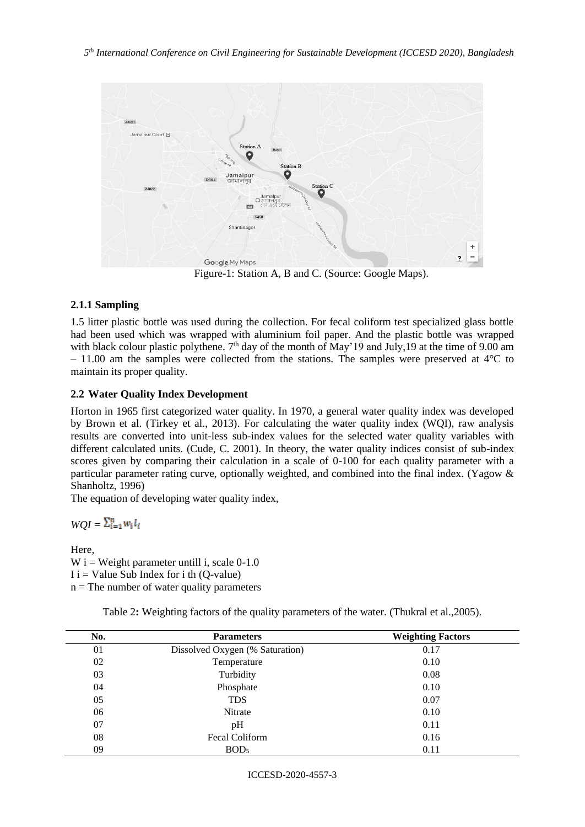

Figure-1: Station A, B and C. (Source: Google Maps).

### **2.1.1 Sampling**

1.5 litter plastic bottle was used during the collection. For fecal coliform test specialized glass bottle had been used which was wrapped with aluminium foil paper. And the plastic bottle was wrapped with black colour plastic polythene. 7<sup>th</sup> day of the month of May'19 and July,19 at the time of 9.00 am  $-11.00$  am the samples were collected from the stations. The samples were preserved at  $4^{\circ}$ C to maintain its proper quality.

#### **2.2 Water Quality Index Development**

Horton in 1965 first categorized water quality. In 1970, a general water quality index was developed by Brown et al. (Tirkey et al., 2013). For calculating the water quality index (WQI), raw analysis results are converted into unit-less sub-index values for the selected water quality variables with different calculated units. (Cude, C. 2001). In theory, the water quality indices consist of sub-index scores given by comparing their calculation in a scale of 0-100 for each quality parameter with a particular parameter rating curve, optionally weighted, and combined into the final index. (Yagow & Shanholtz, 1996)

The equation of developing water quality index,

 $WOI = \sum_{i=1}^{n} w_i l_i$ 

Here,

W i = Weight parameter untill i, scale  $0-1.0$  $I$  i = Value Sub Index for i th (Q-value)  $n =$ The number of water quality parameters

| No. | <b>Parameters</b>               | <b>Weighting Factors</b> |
|-----|---------------------------------|--------------------------|
| 01  | Dissolved Oxygen (% Saturation) | 0.17                     |
| 02  | Temperature                     | 0.10                     |
| 03  | Turbidity                       | 0.08                     |
| 04  | Phosphate                       | 0.10                     |
| 05  | <b>TDS</b>                      | 0.07                     |
| 06  | Nitrate                         | 0.10                     |
| 07  | pH                              | 0.11                     |
| 08  | Fecal Coliform                  | 0.16                     |
| 09  | BOD <sub>5</sub>                | 0.11                     |

Table 2: Weighting factors of the quality parameters of the water. (Thukral et al., 2005).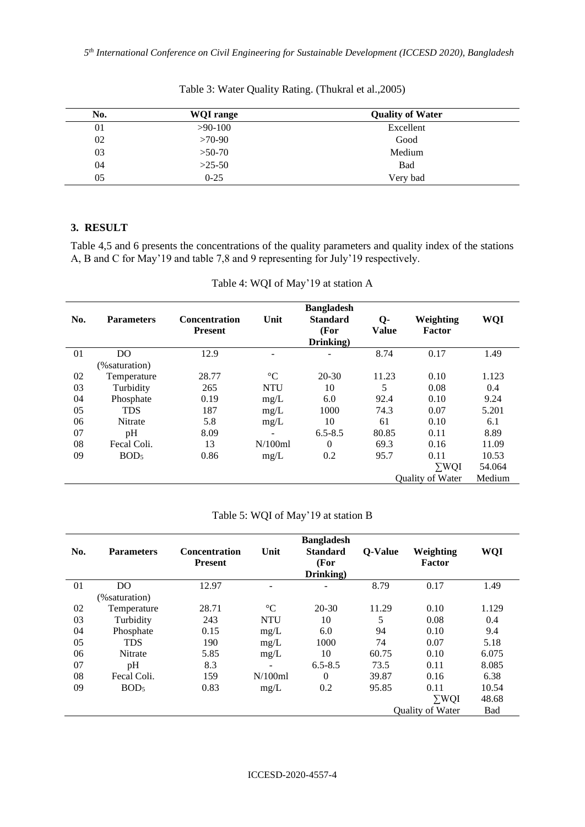| No. | <b>WQI</b> range | <b>Quality of Water</b> |  |
|-----|------------------|-------------------------|--|
| 01  | $>90-100$        | Excellent               |  |
| 02  | $>70-90$         | Good                    |  |
| 03  | $>50-70$         | Medium                  |  |
| 04  | $>25-50$         | Bad                     |  |
| 05  | $0 - 25$         | Very bad                |  |

Table 3: Water Quality Rating. (Thukral et al.,2005)

### **3. RESULT**

Table 4,5 and 6 presents the concentrations of the quality parameters and quality index of the stations A, B and C for May'19 and table 7,8 and 9 representing for July'19 respectively.

| No. | <b>Parameters</b> | <b>Concentration</b><br><b>Present</b> | Unit              | <b>Bangladesh</b><br><b>Standard</b><br>(For<br>Drinking) | $Q-$<br><b>Value</b> | Weighting<br>Factor     | <b>WQI</b> |
|-----|-------------------|----------------------------------------|-------------------|-----------------------------------------------------------|----------------------|-------------------------|------------|
| 01  | D <sub>O</sub>    | 12.9                                   | $\qquad \qquad -$ | ۰                                                         | 8.74                 | 0.17                    | 1.49       |
|     | (% saturation)    |                                        |                   |                                                           |                      |                         |            |
| 02  | Temperature       | 28.77                                  | $\rm ^{\circ}C$   | $20 - 30$                                                 | 11.23                | 0.10                    | 1.123      |
| 03  | Turbidity         | 265                                    | <b>NTU</b>        | 10                                                        | 5                    | 0.08                    | 0.4        |
| 04  | Phosphate         | 0.19                                   | mg/L              | 6.0                                                       | 92.4                 | 0.10                    | 9.24       |
| 05  | <b>TDS</b>        | 187                                    | mg/L              | 1000                                                      | 74.3                 | 0.07                    | 5.201      |
| 06  | Nitrate           | 5.8                                    | mg/L              | 10                                                        | 61                   | 0.10                    | 6.1        |
| 07  | pH                | 8.09                                   |                   | $6.5 - 8.5$                                               | 80.85                | 0.11                    | 8.89       |
| 08  | Fecal Coli.       | 13                                     | N/100ml           | $\theta$                                                  | 69.3                 | 0.16                    | 11.09      |
| 09  | BOD <sub>5</sub>  | 0.86                                   | mg/L              | 0.2                                                       | 95.7                 | 0.11                    | 10.53      |
|     |                   |                                        |                   |                                                           |                      | $\Sigma$ WQI            | 54.064     |
|     |                   |                                        |                   |                                                           |                      | <b>Ouality of Water</b> | Medium     |

Table 4: WQI of May'19 at station A

|  |  |  |  | Table 5: WQI of May'19 at station B |  |
|--|--|--|--|-------------------------------------|--|
|--|--|--|--|-------------------------------------|--|

| No. | <b>Parameters</b> | <b>Concentration</b><br><b>Present</b> | Unit            | <b>Bangladesh</b><br><b>Standard</b><br>(For<br>Drinking) | <b>Q-Value</b> | Weighting<br><b>Factor</b> | WQI   |
|-----|-------------------|----------------------------------------|-----------------|-----------------------------------------------------------|----------------|----------------------------|-------|
| 01  | D <sub>O</sub>    | 12.97                                  |                 |                                                           | 8.79           | 0.17                       | 1.49  |
|     | (% saturation)    |                                        |                 |                                                           |                |                            |       |
| 02  | Temperature       | 28.71                                  | $\rm ^{\circ}C$ | $20 - 30$                                                 | 11.29          | 0.10                       | 1.129 |
| 03  | Turbidity         | 243                                    | <b>NTU</b>      | 10                                                        | 5              | 0.08                       | 0.4   |
| 04  | Phosphate         | 0.15                                   | mg/L            | 6.0                                                       | 94             | 0.10                       | 9.4   |
| 05  | <b>TDS</b>        | 190                                    | mg/L            | 1000                                                      | 74             | 0.07                       | 5.18  |
| 06  | Nitrate           | 5.85                                   | mg/L            | 10                                                        | 60.75          | 0.10                       | 6.075 |
| 07  | pH                | 8.3                                    |                 | $6.5 - 8.5$                                               | 73.5           | 0.11                       | 8.085 |
| 08  | Fecal Coli.       | 159                                    | N/100ml         | $\Omega$                                                  | 39.87          | 0.16                       | 6.38  |
| 09  | BOD <sub>5</sub>  | 0.83                                   | mg/L            | 0.2                                                       | 95.85          | 0.11                       | 10.54 |
|     |                   |                                        |                 |                                                           |                | $\Sigma$ WQI               | 48.68 |
|     |                   |                                        |                 |                                                           |                | <b>Ouality of Water</b>    | Bad   |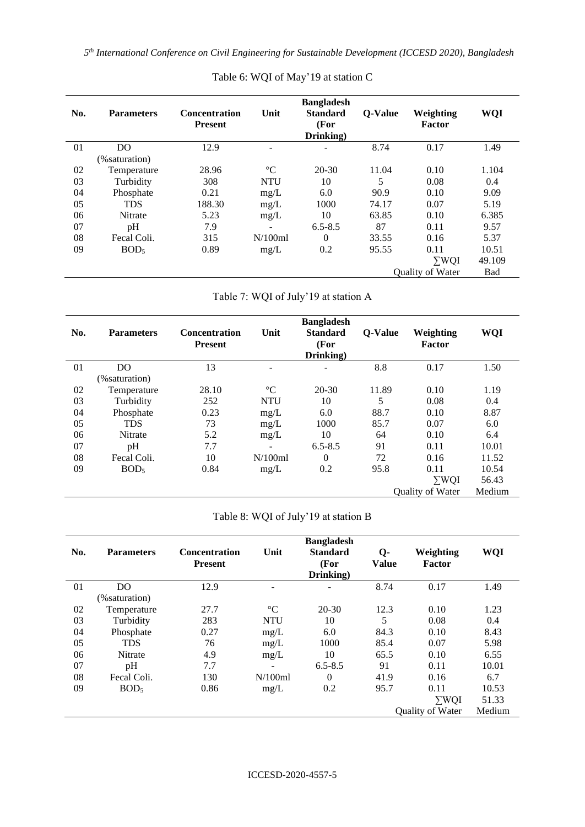*5 th International Conference on Civil Engineering for Sustainable Development (ICCESD 2020), Bangladesh*

| No. | <b>Parameters</b> | <b>Concentration</b><br><b>Present</b> | Unit            | <b>Bangladesh</b><br><b>Standard</b><br>(For<br>Drinking) | <b>Q-Value</b> | Weighting<br>Factor | <b>WQI</b> |
|-----|-------------------|----------------------------------------|-----------------|-----------------------------------------------------------|----------------|---------------------|------------|
| 01  | DO.               | 12.9                                   |                 |                                                           | 8.74           | 0.17                | 1.49       |
|     | (% saturation)    |                                        |                 |                                                           |                |                     |            |
| 02  | Temperature       | 28.96                                  | $\rm ^{\circ}C$ | $20 - 30$                                                 | 11.04          | 0.10                | 1.104      |
| 03  | Turbidity         | 308                                    | <b>NTU</b>      | 10                                                        | 5              | 0.08                | 0.4        |
| 04  | Phosphate         | 0.21                                   | mg/L            | 6.0                                                       | 90.9           | 0.10                | 9.09       |
| 05  | <b>TDS</b>        | 188.30                                 | mg/L            | 1000                                                      | 74.17          | 0.07                | 5.19       |
| 06  | <b>Nitrate</b>    | 5.23                                   | mg/L            | 10                                                        | 63.85          | 0.10                | 6.385      |
| 07  | pH                | 7.9                                    |                 | $6.5 - 8.5$                                               | 87             | 0.11                | 9.57       |
| 08  | Fecal Coli.       | 315                                    | N/100ml         | $\Omega$                                                  | 33.55          | 0.16                | 5.37       |
| 09  | BOD <sub>5</sub>  | 0.89                                   | mg/L            | 0.2                                                       | 95.55          | 0.11                | 10.51      |
|     |                   |                                        |                 |                                                           |                | $\Sigma$ WQI        | 49.109     |
|     |                   |                                        |                 |                                                           |                | Quality of Water    | Bad        |

# Table 6: WQI of May'19 at station C

# Table 7: WQI of July'19 at station A

| No. | <b>Parameters</b> | <b>Concentration</b><br><b>Present</b> | Unit                     | <b>Bangladesh</b><br><b>Standard</b><br>(For<br>Drinking) | <b>Q-Value</b> | Weighting<br><b>Factor</b> | WQI    |
|-----|-------------------|----------------------------------------|--------------------------|-----------------------------------------------------------|----------------|----------------------------|--------|
| 01  | D <sub>O</sub>    | 13                                     | $\overline{\phantom{0}}$ |                                                           | 8.8            | 0.17                       | 1.50   |
|     | (% saturation)    |                                        |                          |                                                           |                |                            |        |
| 02  | Temperature       | 28.10                                  | $\rm ^{\circ}C$          | $20-30$                                                   | 11.89          | 0.10                       | 1.19   |
| 03  | Turbidity         | 252                                    | <b>NTU</b>               | 10                                                        | 5              | 0.08                       | 0.4    |
| 04  | Phosphate         | 0.23                                   | mg/L                     | 6.0                                                       | 88.7           | 0.10                       | 8.87   |
| 05  | <b>TDS</b>        | 73                                     | mg/L                     | 1000                                                      | 85.7           | 0.07                       | 6.0    |
| 06  | <b>Nitrate</b>    | 5.2                                    | mg/L                     | 10                                                        | 64             | 0.10                       | 6.4    |
| 07  | pH                | 7.7                                    |                          | $6.5 - 8.5$                                               | 91             | 0.11                       | 10.01  |
| 08  | Fecal Coli.       | 10                                     | N/100ml                  | $\overline{0}$                                            | 72             | 0.16                       | 11.52  |
| 09  | BOD <sub>5</sub>  | 0.84                                   | mg/L                     | 0.2                                                       | 95.8           | 0.11                       | 10.54  |
|     |                   |                                        |                          |                                                           |                | $\Sigma WQI$               | 56.43  |
|     |                   |                                        |                          |                                                           |                | Quality of Water           | Medium |

# Table 8: WQI of July'19 at station B

| No. | <b>Parameters</b> | <b>Concentration</b><br><b>Present</b> | Unit            | <b>Bangladesh</b><br><b>Standard</b><br>(For<br>Drinking) | $Q-$<br><b>Value</b> | Weighting<br>Factor     | WQI    |
|-----|-------------------|----------------------------------------|-----------------|-----------------------------------------------------------|----------------------|-------------------------|--------|
| 01  | D <sub>O</sub>    | 12.9                                   |                 |                                                           | 8.74                 | 0.17                    | 1.49   |
|     | (% saturation)    |                                        |                 |                                                           |                      |                         |        |
| 02  | Temperature       | 27.7                                   | $\rm ^{\circ}C$ | $20-30$                                                   | 12.3                 | 0.10                    | 1.23   |
| 03  | Turbidity         | 283                                    | <b>NTU</b>      | 10                                                        | 5                    | 0.08                    | 0.4    |
| 04  | Phosphate         | 0.27                                   | mg/L            | 6.0                                                       | 84.3                 | 0.10                    | 8.43   |
| 05  | <b>TDS</b>        | 76                                     | mg/L            | 1000                                                      | 85.4                 | 0.07                    | 5.98   |
| 06  | <b>Nitrate</b>    | 4.9                                    | mg/L            | 10                                                        | 65.5                 | 0.10                    | 6.55   |
| 07  | pH                | 7.7                                    |                 | $6.5 - 8.5$                                               | 91                   | 0.11                    | 10.01  |
| 08  | Fecal Coli.       | 130                                    | N/100ml         | $\Omega$                                                  | 41.9                 | 0.16                    | 6.7    |
| 09  | BOD <sub>5</sub>  | 0.86                                   | mg/L            | 0.2                                                       | 95.7                 | 0.11                    | 10.53  |
|     |                   |                                        |                 |                                                           |                      | $\Sigma WQI$            | 51.33  |
|     |                   |                                        |                 |                                                           |                      | <b>Ouality of Water</b> | Medium |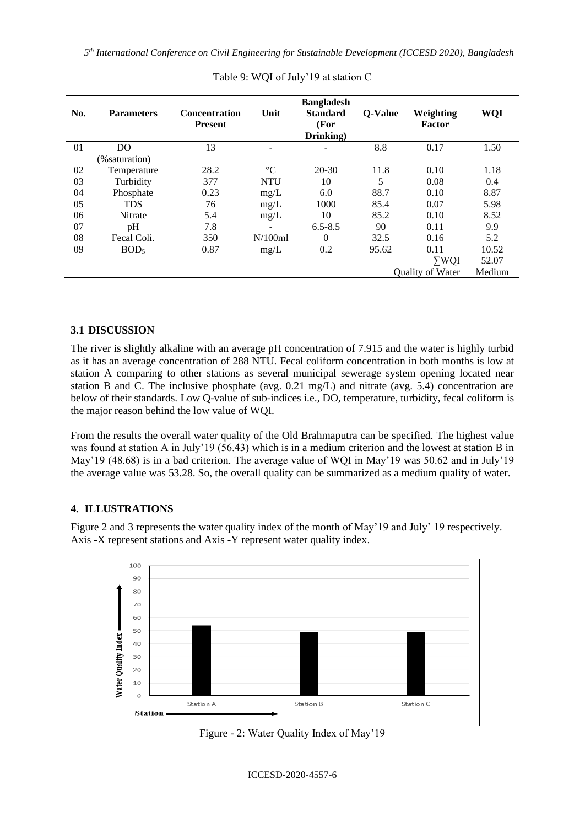*5 th International Conference on Civil Engineering for Sustainable Development (ICCESD 2020), Bangladesh*

| No. | <b>Parameters</b> | <b>Concentration</b><br><b>Present</b> | Unit            | <b>Bangladesh</b><br><b>Standard</b><br>(For<br>Drinking) | <b>Q-Value</b> | Weighting<br><b>Factor</b> | WQI    |
|-----|-------------------|----------------------------------------|-----------------|-----------------------------------------------------------|----------------|----------------------------|--------|
| 01  | D <sub>O</sub>    | 13                                     |                 |                                                           | 8.8            | 0.17                       | 1.50   |
|     | (% saturation)    |                                        |                 |                                                           |                |                            |        |
| 02  | Temperature       | 28.2                                   | $\rm ^{\circ}C$ | $20 - 30$                                                 | 11.8           | 0.10                       | 1.18   |
| 03  | Turbidity         | 377                                    | <b>NTU</b>      | 10                                                        | 5              | 0.08                       | 0.4    |
| 04  | Phosphate         | 0.23                                   | mg/L            | 6.0                                                       | 88.7           | 0.10                       | 8.87   |
| 05  | <b>TDS</b>        | 76                                     | mg/L            | 1000                                                      | 85.4           | 0.07                       | 5.98   |
| 06  | <b>Nitrate</b>    | 5.4                                    | mg/L            | 10                                                        | 85.2           | 0.10                       | 8.52   |
| 07  | pH                | 7.8                                    |                 | $6.5 - 8.5$                                               | 90             | 0.11                       | 9.9    |
| 08  | Fecal Coli.       | 350                                    | N/100ml         | $\Omega$                                                  | 32.5           | 0.16                       | 5.2    |
| 09  | BOD <sub>5</sub>  | 0.87                                   | mg/L            | 0.2                                                       | 95.62          | 0.11                       | 10.52  |
|     |                   |                                        |                 |                                                           |                | $\Sigma WQI$               | 52.07  |
|     |                   |                                        |                 |                                                           |                | Quality of Water           | Medium |

Table 9: WQI of July'19 at station C

### **3.1 DISCUSSION**

The river is slightly alkaline with an average pH concentration of 7.915 and the water is highly turbid as it has an average concentration of 288 NTU. Fecal coliform concentration in both months is low at station A comparing to other stations as several municipal sewerage system opening located near station B and C. The inclusive phosphate (avg. 0.21 mg/L) and nitrate (avg. 5.4) concentration are below of their standards. Low Q-value of sub-indices i.e., DO, temperature, turbidity, fecal coliform is the major reason behind the low value of WQI.

From the results the overall water quality of the Old Brahmaputra can be specified. The highest value was found at station A in July'19 (56.43) which is in a medium criterion and the lowest at station B in May'19 (48.68) is in a bad criterion. The average value of WQI in May'19 was 50.62 and in July'19 the average value was 53.28. So, the overall quality can be summarized as a medium quality of water.

## **4. ILLUSTRATIONS**

Figure 2 and 3 represents the water quality index of the month of May'19 and July' 19 respectively. Axis -X represent stations and Axis -Y represent water quality index.



Figure - 2: Water Quality Index of May'19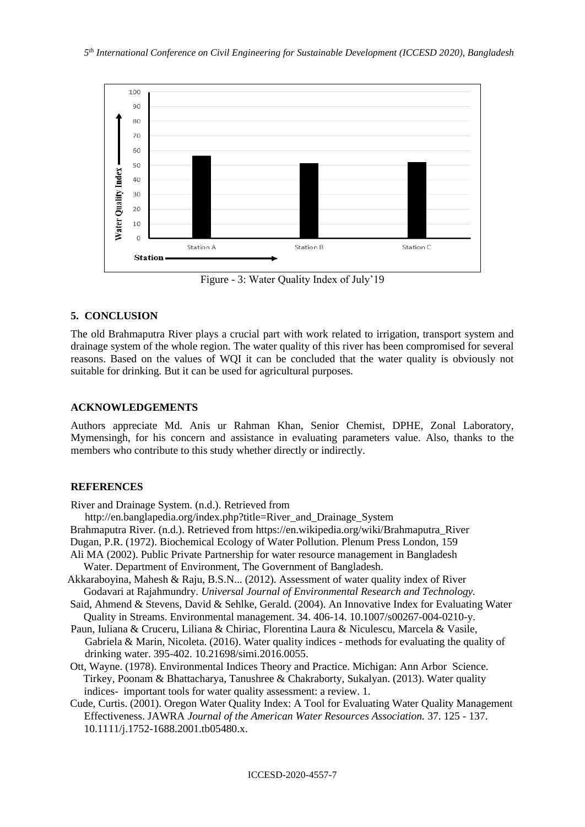

Figure - 3: Water Quality Index of July'19

#### **5. CONCLUSION**

The old Brahmaputra River plays a crucial part with work related to irrigation, transport system and drainage system of the whole region. The water quality of this river has been compromised for several reasons. Based on the values of WQI it can be concluded that the water quality is obviously not suitable for drinking. But it can be used for agricultural purposes.

#### **ACKNOWLEDGEMENTS**

Authors appreciate Md. Anis ur Rahman Khan, Senior Chemist, DPHE, Zonal Laboratory, Mymensingh, for his concern and assistance in evaluating parameters value. Also, thanks to the members who contribute to this study whether directly or indirectly.

### **REFERENCES**

River and Drainage System. (n.d.). Retrieved from

http://en.banglapedia.org/index.php?title=River\_and\_Drainage\_System

Brahmaputra River. (n.d.). Retrieved from https://en.wikipedia.org/wiki/Brahmaputra\_River

- Dugan, P.R. (1972). Biochemical Ecology of Water Pollution. Plenum Press London, 159
- Ali MA (2002). Public Private Partnership for water resource management in Bangladesh Water. Department of Environment, The Government of Bangladesh.
- Akkaraboyina, Mahesh & Raju, B.S.N... (2012). Assessment of water quality index of River Godavari at Rajahmundry. *Universal Journal of Environmental Research and Technology.*
- Said, Ahmend & Stevens, David & Sehlke, Gerald. (2004). An Innovative Index for Evaluating Water Quality in Streams. Environmental management. 34. 406-14. 10.1007/s00267-004-0210-y.
- Paun, Iuliana & Cruceru, Liliana & Chiriac, Florentina Laura & Niculescu, Marcela & Vasile, Gabriela & Marin, Nicoleta.  $(2016)$ . Water quality indices - methods for evaluating the quality of drinking water. 395-402. 10.21698/simi.2016.0055.
- Ott, Wayne. (1978). Environmental Indices Theory and Practice. Michigan: Ann Arbor Science. Tirkey, Poonam & Bhattacharya, Tanushree & Chakraborty, Sukalyan. (2013). Water quality indices- important tools for water quality assessment: a review. 1.
- Cude, Curtis. (2001). Oregon Water Quality Index: A Tool for Evaluating Water Quality Management Effectiveness. JAWRA *Journal of the American Water Resources Association.* 37. 125 - 137. 10.1111/j.1752-1688.2001.tb05480.x.